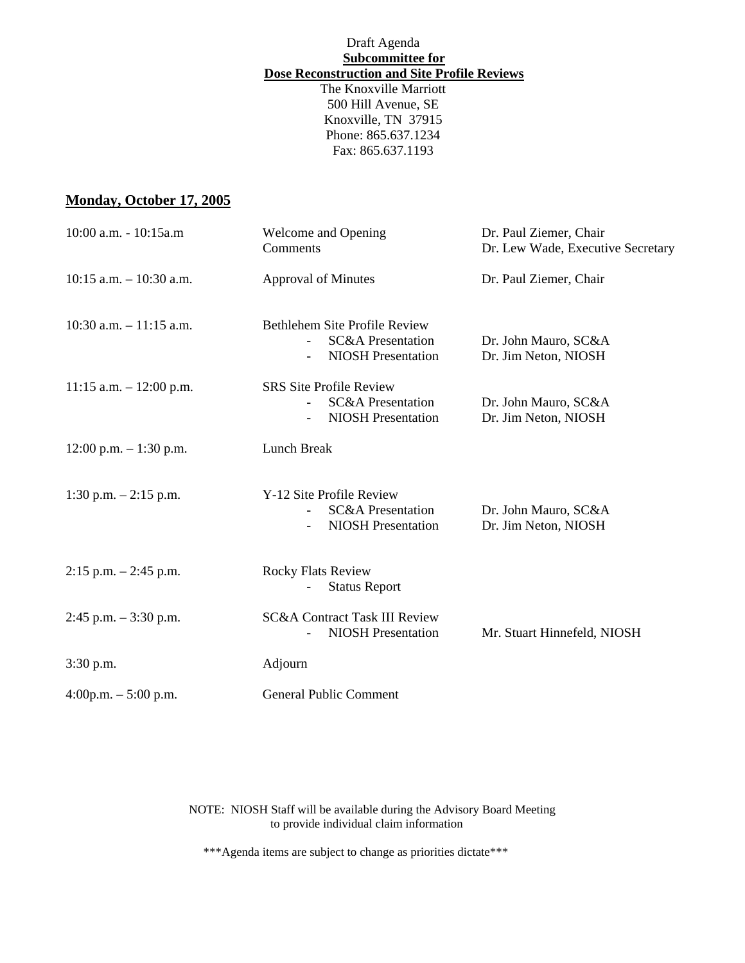# Draft Agenda **Subcommittee for Dose Reconstruction and Site Profile Reviews**

The Knoxville Marriott 500 Hill Avenue, SE Knoxville, TN 37915 Phone: 865.637.1234 Fax: 865.637.1193

## **Monday, October 17, 2005**

| 10:00 a.m. - 10:15a.m      | Welcome and Opening<br>Comments                                                                                        | Dr. Paul Ziemer, Chair<br>Dr. Lew Wade, Executive Secretary |
|----------------------------|------------------------------------------------------------------------------------------------------------------------|-------------------------------------------------------------|
| $10:15$ a.m. $-10:30$ a.m. | <b>Approval of Minutes</b>                                                                                             | Dr. Paul Ziemer, Chair                                      |
| $10:30$ a.m. $-11:15$ a.m. | Bethlehem Site Profile Review<br><b>SC&amp;A Presentation</b><br><b>NIOSH</b> Presentation<br>$\overline{\phantom{0}}$ | Dr. John Mauro, SC&A<br>Dr. Jim Neton, NIOSH                |
| $11:15$ a.m. $-12:00$ p.m. | <b>SRS Site Profile Review</b><br><b>SC&amp;A</b> Presentation<br><b>NIOSH Presentation</b>                            | Dr. John Mauro, SC&A<br>Dr. Jim Neton, NIOSH                |
| $12:00$ p.m. $-1:30$ p.m.  | Lunch Break                                                                                                            |                                                             |
| 1:30 p.m. $-2:15$ p.m.     | Y-12 Site Profile Review<br><b>SC&amp;A Presentation</b><br><b>NIOSH</b> Presentation                                  | Dr. John Mauro, SC&A<br>Dr. Jim Neton, NIOSH                |
| $2:15$ p.m. $-2:45$ p.m.   | <b>Rocky Flats Review</b><br><b>Status Report</b>                                                                      |                                                             |
| $2:45$ p.m. $-3:30$ p.m.   | <b>SC&amp;A Contract Task III Review</b><br><b>NIOSH</b> Presentation                                                  | Mr. Stuart Hinnefeld, NIOSH                                 |
| 3:30 p.m.                  | Adjourn                                                                                                                |                                                             |
| $4:00p.m. - 5:00 p.m.$     | <b>General Public Comment</b>                                                                                          |                                                             |

NOTE: NIOSH Staff will be available during the Advisory Board Meeting to provide individual claim information

\*\*\*Agenda items are subject to change as priorities dictate\*\*\*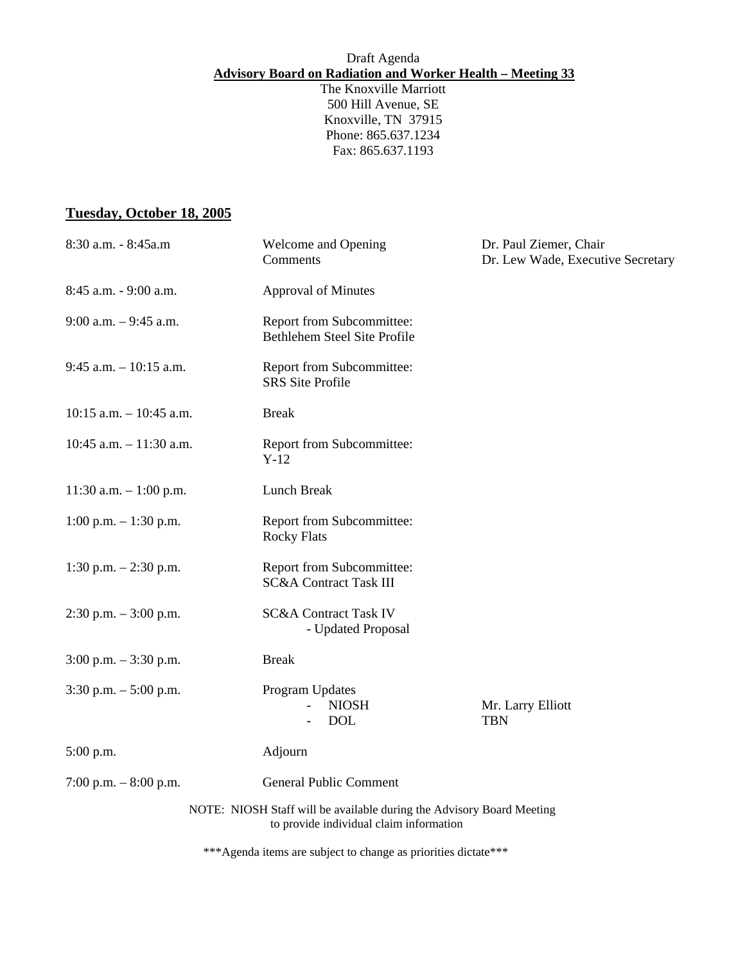## Draft Agenda **Advisory Board on Radiation and Worker Health – Meeting 33**

The Knoxville Marriott 500 Hill Avenue, SE Knoxville, TN 37915 Phone: 865.637.1234 Fax: 865.637.1193

#### **Tuesday, October 18, 2005**

| 8:30 a.m. - 8:45a.m        | Welcome and Opening<br>Comments                                                                                  | Dr. Paul Ziemer, Chair<br>Dr. Lew Wade, Executive Secretary |
|----------------------------|------------------------------------------------------------------------------------------------------------------|-------------------------------------------------------------|
| 8:45 a.m. - 9:00 a.m.      | <b>Approval of Minutes</b>                                                                                       |                                                             |
| $9:00$ a.m. $-9:45$ a.m.   | Report from Subcommittee:<br>Bethlehem Steel Site Profile                                                        |                                                             |
| $9:45$ a.m. $-10:15$ a.m.  | Report from Subcommittee:<br><b>SRS</b> Site Profile                                                             |                                                             |
| $10:15$ a.m. $-10:45$ a.m. | <b>Break</b>                                                                                                     |                                                             |
| 10:45 a.m. $- 11:30$ a.m.  | Report from Subcommittee:<br>$Y-12$                                                                              |                                                             |
| 11:30 a.m. $-1:00$ p.m.    | Lunch Break                                                                                                      |                                                             |
| $1:00$ p.m. $-1:30$ p.m.   | Report from Subcommittee:<br><b>Rocky Flats</b>                                                                  |                                                             |
| 1:30 p.m. $- 2:30$ p.m.    | Report from Subcommittee:<br><b>SC&amp;A Contract Task III</b>                                                   |                                                             |
| $2:30$ p.m. $-3:00$ p.m.   | <b>SC&amp;A Contract Task IV</b><br>- Updated Proposal                                                           |                                                             |
| $3:00$ p.m. $-3:30$ p.m.   | <b>Break</b>                                                                                                     |                                                             |
| $3:30$ p.m. $-5:00$ p.m.   | Program Updates<br><b>NIOSH</b><br><b>DOL</b>                                                                    | Mr. Larry Elliott<br><b>TBN</b>                             |
| $5:00$ p.m.                | Adjourn                                                                                                          |                                                             |
| 7:00 p.m. $-8:00$ p.m.     | <b>General Public Comment</b>                                                                                    |                                                             |
|                            | NOTE: NIOSH Staff will be available during the Advisory Board Meeting<br>to provide individual claim information |                                                             |

\*\*\*Agenda items are subject to change as priorities dictate\*\*\*